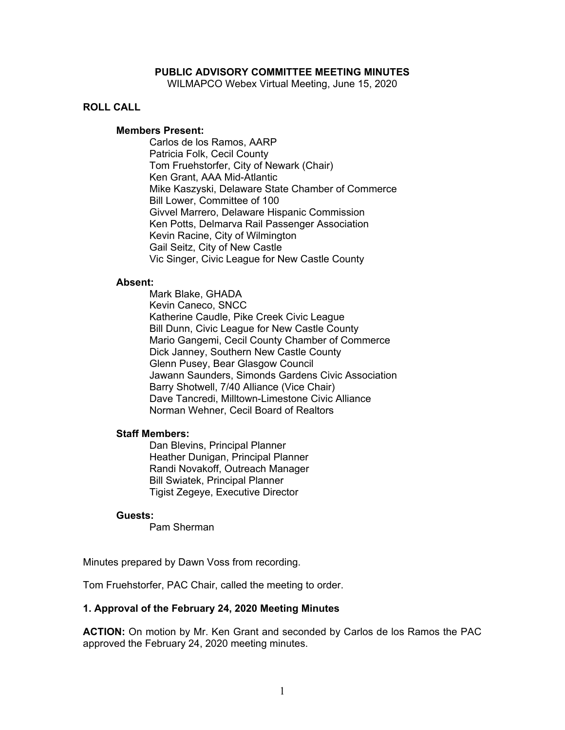### **PUBLIC ADVISORY COMMITTEE MEETING MINUTES**

WILMAPCO Webex Virtual Meeting, June 15, 2020

## **ROLL CALL**

#### **Members Present:**

Carlos de los Ramos, AARP Patricia Folk, Cecil County Tom Fruehstorfer, City of Newark (Chair) Ken Grant, AAA Mid-Atlantic Mike Kaszyski, Delaware State Chamber of Commerce Bill Lower, Committee of 100 Givvel Marrero, Delaware Hispanic Commission Ken Potts, Delmarva Rail Passenger Association Kevin Racine, City of Wilmington Gail Seitz, City of New Castle Vic Singer, Civic League for New Castle County

#### **Absent:**

Mark Blake, GHADA Kevin Caneco, SNCC Katherine Caudle, Pike Creek Civic League Bill Dunn, Civic League for New Castle County Mario Gangemi, Cecil County Chamber of Commerce Dick Janney, Southern New Castle County Glenn Pusey, Bear Glasgow Council Jawann Saunders, Simonds Gardens Civic Association Barry Shotwell, 7/40 Alliance (Vice Chair) Dave Tancredi, Milltown-Limestone Civic Alliance Norman Wehner, Cecil Board of Realtors

#### **Staff Members:**

Dan Blevins, Principal Planner Heather Dunigan, Principal Planner Randi Novakoff, Outreach Manager Bill Swiatek, Principal Planner Tigist Zegeye, Executive Director

#### **Guests:**

Pam Sherman

Minutes prepared by Dawn Voss from recording.

Tom Fruehstorfer, PAC Chair, called the meeting to order.

#### **1. Approval of the February 24, 2020 Meeting Minutes**

**ACTION:** On motion by Mr. Ken Grant and seconded by Carlos de los Ramos the PAC approved the February 24, 2020 meeting minutes.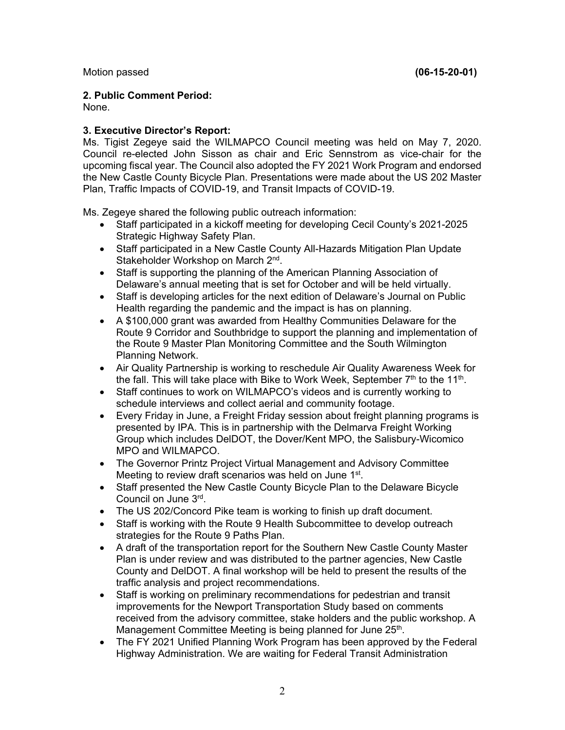Motion passed **(06-15-20-01)** 

## **2. Public Comment Period:**

None.

# **3. Executive Director's Report:**

Ms. Tigist Zegeye said the WILMAPCO Council meeting was held on May 7, 2020. Council re-elected John Sisson as chair and Eric Sennstrom as vice-chair for the upcoming fiscal year. The Council also adopted the FY 2021 Work Program and endorsed the New Castle County Bicycle Plan. Presentations were made about the US 202 Master Plan, Traffic Impacts of COVID-19, and Transit Impacts of COVID-19.

Ms. Zegeye shared the following public outreach information:

- Staff participated in a kickoff meeting for developing Cecil County's 2021-2025 Strategic Highway Safety Plan.
- Staff participated in a New Castle County All-Hazards Mitigation Plan Update Stakeholder Workshop on March 2nd.
- Staff is supporting the planning of the American Planning Association of Delaware's annual meeting that is set for October and will be held virtually.
- Staff is developing articles for the next edition of Delaware's Journal on Public Health regarding the pandemic and the impact is has on planning.
- A \$100,000 grant was awarded from Healthy Communities Delaware for the Route 9 Corridor and Southbridge to support the planning and implementation of the Route 9 Master Plan Monitoring Committee and the South Wilmington Planning Network.
- Air Quality Partnership is working to reschedule Air Quality Awareness Week for the fall. This will take place with Bike to Work Week, September  $7<sup>th</sup>$  to the 11<sup>th</sup>.
- Staff continues to work on WILMAPCO's videos and is currently working to schedule interviews and collect aerial and community footage.
- Every Friday in June, a Freight Friday session about freight planning programs is presented by IPA. This is in partnership with the Delmarva Freight Working Group which includes DelDOT, the Dover/Kent MPO, the Salisbury-Wicomico MPO and WILMAPCO.
- The Governor Printz Project Virtual Management and Advisory Committee Meeting to review draft scenarios was held on June 1<sup>st</sup>.
- Staff presented the New Castle County Bicycle Plan to the Delaware Bicycle Council on June 3rd.
- The US 202/Concord Pike team is working to finish up draft document.
- Staff is working with the Route 9 Health Subcommittee to develop outreach strategies for the Route 9 Paths Plan.
- A draft of the transportation report for the Southern New Castle County Master Plan is under review and was distributed to the partner agencies, New Castle County and DelDOT. A final workshop will be held to present the results of the traffic analysis and project recommendations.
- Staff is working on preliminary recommendations for pedestrian and transit improvements for the Newport Transportation Study based on comments received from the advisory committee, stake holders and the public workshop. A Management Committee Meeting is being planned for June 25<sup>th</sup>.
- The FY 2021 Unified Planning Work Program has been approved by the Federal Highway Administration. We are waiting for Federal Transit Administration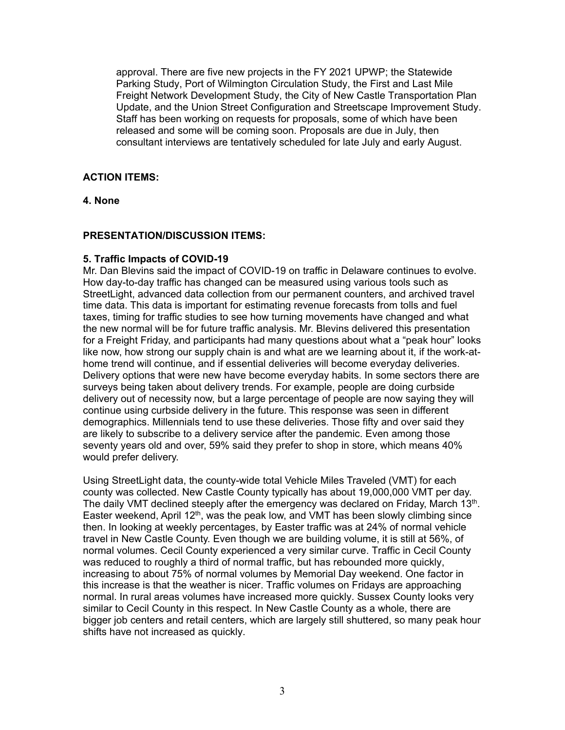approval. There are five new projects in the FY 2021 UPWP; the Statewide Parking Study, Port of Wilmington Circulation Study, the First and Last Mile Freight Network Development Study, the City of New Castle Transportation Plan Update, and the Union Street Configuration and Streetscape Improvement Study. Staff has been working on requests for proposals, some of which have been released and some will be coming soon. Proposals are due in July, then consultant interviews are tentatively scheduled for late July and early August.

## **ACTION ITEMS:**

## **4. None**

## **PRESENTATION/DISCUSSION ITEMS:**

#### **5. Traffic Impacts of COVID-19**

Mr. Dan Blevins said the impact of COVID-19 on traffic in Delaware continues to evolve. How day-to-day traffic has changed can be measured using various tools such as StreetLight, advanced data collection from our permanent counters, and archived travel time data. This data is important for estimating revenue forecasts from tolls and fuel taxes, timing for traffic studies to see how turning movements have changed and what the new normal will be for future traffic analysis. Mr. Blevins delivered this presentation for a Freight Friday, and participants had many questions about what a "peak hour" looks like now, how strong our supply chain is and what are we learning about it, if the work-athome trend will continue, and if essential deliveries will become everyday deliveries. Delivery options that were new have become everyday habits. In some sectors there are surveys being taken about delivery trends. For example, people are doing curbside delivery out of necessity now, but a large percentage of people are now saying they will continue using curbside delivery in the future. This response was seen in different demographics. Millennials tend to use these deliveries. Those fifty and over said they are likely to subscribe to a delivery service after the pandemic. Even among those seventy years old and over, 59% said they prefer to shop in store, which means 40% would prefer delivery.

Using StreetLight data, the county-wide total Vehicle Miles Traveled (VMT) for each county was collected. New Castle County typically has about 19,000,000 VMT per day. The daily VMT declined steeply after the emergency was declared on Friday, March 13th. Easter weekend, April 12<sup>th</sup>, was the peak low, and VMT has been slowly climbing since then. In looking at weekly percentages, by Easter traffic was at 24% of normal vehicle travel in New Castle County. Even though we are building volume, it is still at 56%, of normal volumes. Cecil County experienced a very similar curve. Traffic in Cecil County was reduced to roughly a third of normal traffic, but has rebounded more quickly, increasing to about 75% of normal volumes by Memorial Day weekend. One factor in this increase is that the weather is nicer. Traffic volumes on Fridays are approaching normal. In rural areas volumes have increased more quickly. Sussex County looks very similar to Cecil County in this respect. In New Castle County as a whole, there are bigger job centers and retail centers, which are largely still shuttered, so many peak hour shifts have not increased as quickly.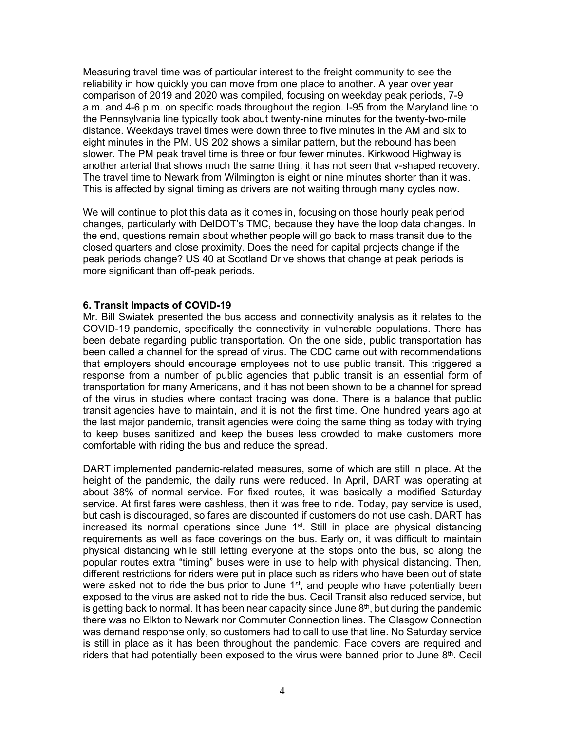Measuring travel time was of particular interest to the freight community to see the reliability in how quickly you can move from one place to another. A year over year comparison of 2019 and 2020 was compiled, focusing on weekday peak periods, 7-9 a.m. and 4-6 p.m. on specific roads throughout the region. I-95 from the Maryland line to the Pennsylvania line typically took about twenty-nine minutes for the twenty-two-mile distance. Weekdays travel times were down three to five minutes in the AM and six to eight minutes in the PM. US 202 shows a similar pattern, but the rebound has been slower. The PM peak travel time is three or four fewer minutes. Kirkwood Highway is another arterial that shows much the same thing, it has not seen that v-shaped recovery. The travel time to Newark from Wilmington is eight or nine minutes shorter than it was. This is affected by signal timing as drivers are not waiting through many cycles now.

We will continue to plot this data as it comes in, focusing on those hourly peak period changes, particularly with DelDOT's TMC, because they have the loop data changes. In the end, questions remain about whether people will go back to mass transit due to the closed quarters and close proximity. Does the need for capital projects change if the peak periods change? US 40 at Scotland Drive shows that change at peak periods is more significant than off-peak periods.

#### **6. Transit Impacts of COVID-19**

Mr. Bill Swiatek presented the bus access and connectivity analysis as it relates to the COVID-19 pandemic, specifically the connectivity in vulnerable populations. There has been debate regarding public transportation. On the one side, public transportation has been called a channel for the spread of virus. The CDC came out with recommendations that employers should encourage employees not to use public transit. This triggered a response from a number of public agencies that public transit is an essential form of transportation for many Americans, and it has not been shown to be a channel for spread of the virus in studies where contact tracing was done. There is a balance that public transit agencies have to maintain, and it is not the first time. One hundred years ago at the last major pandemic, transit agencies were doing the same thing as today with trying to keep buses sanitized and keep the buses less crowded to make customers more comfortable with riding the bus and reduce the spread.

DART implemented pandemic-related measures, some of which are still in place. At the height of the pandemic, the daily runs were reduced. In April, DART was operating at about 38% of normal service. For fixed routes, it was basically a modified Saturday service. At first fares were cashless, then it was free to ride. Today, pay service is used, but cash is discouraged, so fares are discounted if customers do not use cash. DART has increased its normal operations since June  $1<sup>st</sup>$ . Still in place are physical distancing requirements as well as face coverings on the bus. Early on, it was difficult to maintain physical distancing while still letting everyone at the stops onto the bus, so along the popular routes extra "timing" buses were in use to help with physical distancing. Then, different restrictions for riders were put in place such as riders who have been out of state were asked not to ride the bus prior to June 1<sup>st</sup>, and people who have potentially been exposed to the virus are asked not to ride the bus. Cecil Transit also reduced service, but is getting back to normal. It has been near capacity since June  $8<sup>th</sup>$ , but during the pandemic there was no Elkton to Newark nor Commuter Connection lines. The Glasgow Connection was demand response only, so customers had to call to use that line. No Saturday service is still in place as it has been throughout the pandemic. Face covers are required and riders that had potentially been exposed to the virus were banned prior to June 8<sup>th</sup>. Cecil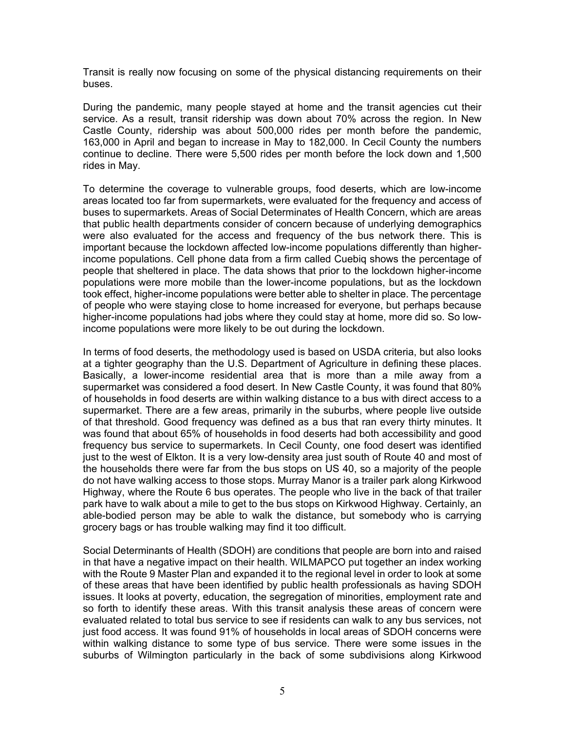Transit is really now focusing on some of the physical distancing requirements on their buses.

During the pandemic, many people stayed at home and the transit agencies cut their service. As a result, transit ridership was down about 70% across the region. In New Castle County, ridership was about 500,000 rides per month before the pandemic, 163,000 in April and began to increase in May to 182,000. In Cecil County the numbers continue to decline. There were 5,500 rides per month before the lock down and 1,500 rides in May.

To determine the coverage to vulnerable groups, food deserts, which are low-income areas located too far from supermarkets, were evaluated for the frequency and access of buses to supermarkets. Areas of Social Determinates of Health Concern, which are areas that public health departments consider of concern because of underlying demographics were also evaluated for the access and frequency of the bus network there. This is important because the lockdown affected low-income populations differently than higherincome populations. Cell phone data from a firm called Cuebiq shows the percentage of people that sheltered in place. The data shows that prior to the lockdown higher-income populations were more mobile than the lower-income populations, but as the lockdown took effect, higher-income populations were better able to shelter in place. The percentage of people who were staying close to home increased for everyone, but perhaps because higher-income populations had jobs where they could stay at home, more did so. So lowincome populations were more likely to be out during the lockdown.

In terms of food deserts, the methodology used is based on USDA criteria, but also looks at a tighter geography than the U.S. Department of Agriculture in defining these places. Basically, a lower-income residential area that is more than a mile away from a supermarket was considered a food desert. In New Castle County, it was found that 80% of households in food deserts are within walking distance to a bus with direct access to a supermarket. There are a few areas, primarily in the suburbs, where people live outside of that threshold. Good frequency was defined as a bus that ran every thirty minutes. It was found that about 65% of households in food deserts had both accessibility and good frequency bus service to supermarkets. In Cecil County, one food desert was identified just to the west of Elkton. It is a very low-density area just south of Route 40 and most of the households there were far from the bus stops on US 40, so a majority of the people do not have walking access to those stops. Murray Manor is a trailer park along Kirkwood Highway, where the Route 6 bus operates. The people who live in the back of that trailer park have to walk about a mile to get to the bus stops on Kirkwood Highway. Certainly, an able-bodied person may be able to walk the distance, but somebody who is carrying grocery bags or has trouble walking may find it too difficult.

Social Determinants of Health (SDOH) are conditions that people are born into and raised in that have a negative impact on their health. WILMAPCO put together an index working with the Route 9 Master Plan and expanded it to the regional level in order to look at some of these areas that have been identified by public health professionals as having SDOH issues. It looks at poverty, education, the segregation of minorities, employment rate and so forth to identify these areas. With this transit analysis these areas of concern were evaluated related to total bus service to see if residents can walk to any bus services, not just food access. It was found 91% of households in local areas of SDOH concerns were within walking distance to some type of bus service. There were some issues in the suburbs of Wilmington particularly in the back of some subdivisions along Kirkwood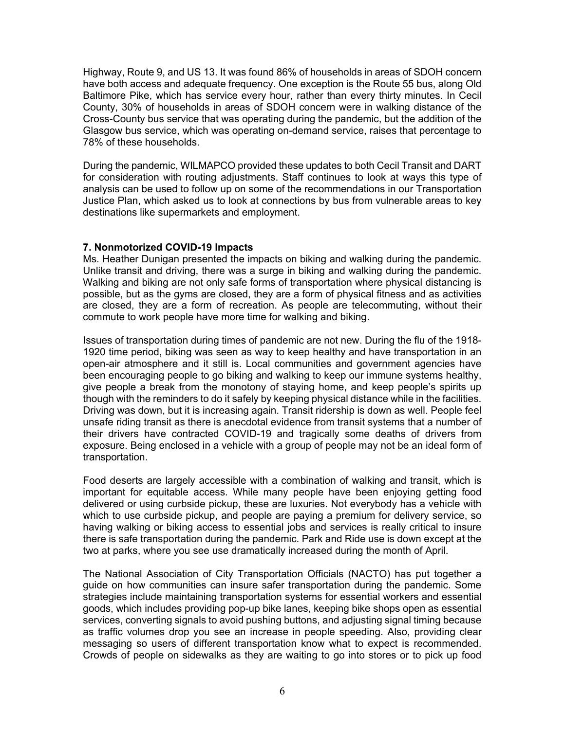Highway, Route 9, and US 13. It was found 86% of households in areas of SDOH concern have both access and adequate frequency. One exception is the Route 55 bus, along Old Baltimore Pike, which has service every hour, rather than every thirty minutes. In Cecil County, 30% of households in areas of SDOH concern were in walking distance of the Cross-County bus service that was operating during the pandemic, but the addition of the Glasgow bus service, which was operating on-demand service, raises that percentage to 78% of these households.

During the pandemic, WILMAPCO provided these updates to both Cecil Transit and DART for consideration with routing adjustments. Staff continues to look at ways this type of analysis can be used to follow up on some of the recommendations in our Transportation Justice Plan, which asked us to look at connections by bus from vulnerable areas to key destinations like supermarkets and employment.

## **7. Nonmotorized COVID-19 Impacts**

Ms. Heather Dunigan presented the impacts on biking and walking during the pandemic. Unlike transit and driving, there was a surge in biking and walking during the pandemic. Walking and biking are not only safe forms of transportation where physical distancing is possible, but as the gyms are closed, they are a form of physical fitness and as activities are closed, they are a form of recreation. As people are telecommuting, without their commute to work people have more time for walking and biking.

Issues of transportation during times of pandemic are not new. During the flu of the 1918- 1920 time period, biking was seen as way to keep healthy and have transportation in an open-air atmosphere and it still is. Local communities and government agencies have been encouraging people to go biking and walking to keep our immune systems healthy, give people a break from the monotony of staying home, and keep people's spirits up though with the reminders to do it safely by keeping physical distance while in the facilities. Driving was down, but it is increasing again. Transit ridership is down as well. People feel unsafe riding transit as there is anecdotal evidence from transit systems that a number of their drivers have contracted COVID-19 and tragically some deaths of drivers from exposure. Being enclosed in a vehicle with a group of people may not be an ideal form of transportation.

Food deserts are largely accessible with a combination of walking and transit, which is important for equitable access. While many people have been enjoying getting food delivered or using curbside pickup, these are luxuries. Not everybody has a vehicle with which to use curbside pickup, and people are paying a premium for delivery service, so having walking or biking access to essential jobs and services is really critical to insure there is safe transportation during the pandemic. Park and Ride use is down except at the two at parks, where you see use dramatically increased during the month of April.

The National Association of City Transportation Officials (NACTO) has put together a guide on how communities can insure safer transportation during the pandemic. Some strategies include maintaining transportation systems for essential workers and essential goods, which includes providing pop-up bike lanes, keeping bike shops open as essential services, converting signals to avoid pushing buttons, and adjusting signal timing because as traffic volumes drop you see an increase in people speeding. Also, providing clear messaging so users of different transportation know what to expect is recommended. Crowds of people on sidewalks as they are waiting to go into stores or to pick up food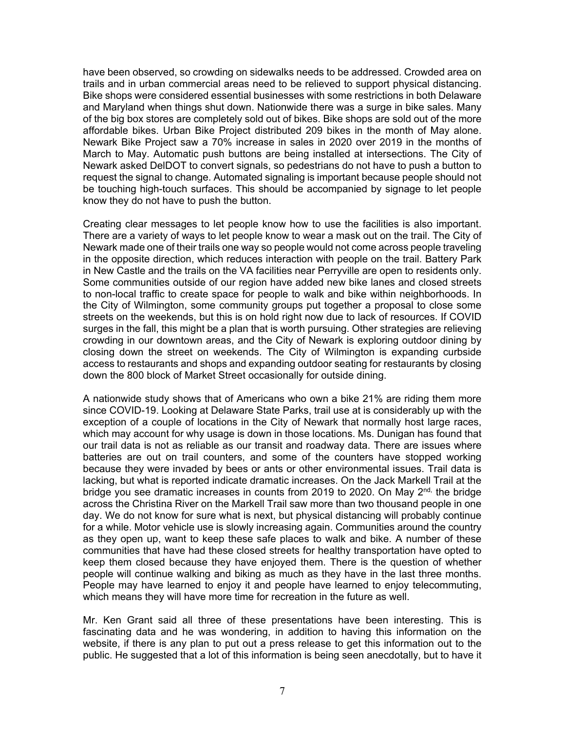have been observed, so crowding on sidewalks needs to be addressed. Crowded area on trails and in urban commercial areas need to be relieved to support physical distancing. Bike shops were considered essential businesses with some restrictions in both Delaware and Maryland when things shut down. Nationwide there was a surge in bike sales. Many of the big box stores are completely sold out of bikes. Bike shops are sold out of the more affordable bikes. Urban Bike Project distributed 209 bikes in the month of May alone. Newark Bike Project saw a 70% increase in sales in 2020 over 2019 in the months of March to May. Automatic push buttons are being installed at intersections. The City of Newark asked DelDOT to convert signals, so pedestrians do not have to push a button to request the signal to change. Automated signaling is important because people should not be touching high-touch surfaces. This should be accompanied by signage to let people know they do not have to push the button.

Creating clear messages to let people know how to use the facilities is also important. There are a variety of ways to let people know to wear a mask out on the trail. The City of Newark made one of their trails one way so people would not come across people traveling in the opposite direction, which reduces interaction with people on the trail. Battery Park in New Castle and the trails on the VA facilities near Perryville are open to residents only. Some communities outside of our region have added new bike lanes and closed streets to non-local traffic to create space for people to walk and bike within neighborhoods. In the City of Wilmington, some community groups put together a proposal to close some streets on the weekends, but this is on hold right now due to lack of resources. If COVID surges in the fall, this might be a plan that is worth pursuing. Other strategies are relieving crowding in our downtown areas, and the City of Newark is exploring outdoor dining by closing down the street on weekends. The City of Wilmington is expanding curbside access to restaurants and shops and expanding outdoor seating for restaurants by closing down the 800 block of Market Street occasionally for outside dining.

A nationwide study shows that of Americans who own a bike 21% are riding them more since COVID-19. Looking at Delaware State Parks, trail use at is considerably up with the exception of a couple of locations in the City of Newark that normally host large races, which may account for why usage is down in those locations. Ms. Dunigan has found that our trail data is not as reliable as our transit and roadway data. There are issues where batteries are out on trail counters, and some of the counters have stopped working because they were invaded by bees or ants or other environmental issues. Trail data is lacking, but what is reported indicate dramatic increases. On the Jack Markell Trail at the bridge you see dramatic increases in counts from 2019 to 2020. On May  $2^{nd}$ , the bridge across the Christina River on the Markell Trail saw more than two thousand people in one day. We do not know for sure what is next, but physical distancing will probably continue for a while. Motor vehicle use is slowly increasing again. Communities around the country as they open up, want to keep these safe places to walk and bike. A number of these communities that have had these closed streets for healthy transportation have opted to keep them closed because they have enjoyed them. There is the question of whether people will continue walking and biking as much as they have in the last three months. People may have learned to enjoy it and people have learned to enjoy telecommuting, which means they will have more time for recreation in the future as well.

Mr. Ken Grant said all three of these presentations have been interesting. This is fascinating data and he was wondering, in addition to having this information on the website, if there is any plan to put out a press release to get this information out to the public. He suggested that a lot of this information is being seen anecdotally, but to have it